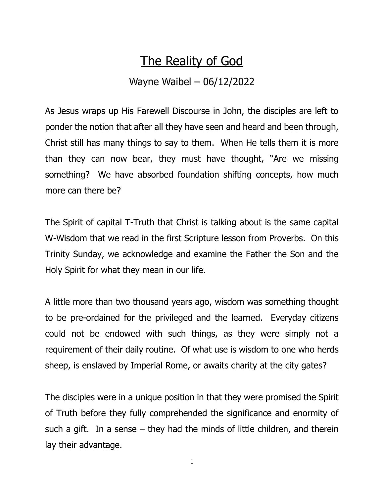## The Reality of God

## Wayne Waibel – 06/12/2022

As Jesus wraps up His Farewell Discourse in John, the disciples are left to ponder the notion that after all they have seen and heard and been through, Christ still has many things to say to them. When He tells them it is more than they can now bear, they must have thought, "Are we missing something? We have absorbed foundation shifting concepts, how much more can there be?

The Spirit of capital T-Truth that Christ is talking about is the same capital W-Wisdom that we read in the first Scripture lesson from Proverbs. On this Trinity Sunday, we acknowledge and examine the Father the Son and the Holy Spirit for what they mean in our life.

A little more than two thousand years ago, wisdom was something thought to be pre-ordained for the privileged and the learned. Everyday citizens could not be endowed with such things, as they were simply not a requirement of their daily routine. Of what use is wisdom to one who herds sheep, is enslaved by Imperial Rome, or awaits charity at the city gates?

The disciples were in a unique position in that they were promised the Spirit of Truth before they fully comprehended the significance and enormity of such a gift. In a sense  $-$  they had the minds of little children, and therein lay their advantage.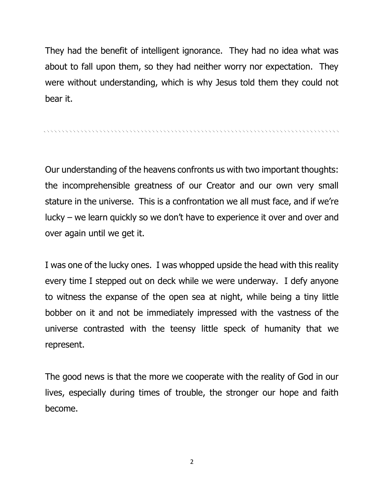They had the benefit of intelligent ignorance. They had no idea what was about to fall upon them, so they had neither worry nor expectation. They were without understanding, which is why Jesus told them they could not bear it.

Our understanding of the heavens confronts us with two important thoughts: the incomprehensible greatness of our Creator and our own very small stature in the universe. This is a confrontation we all must face, and if we're lucky – we learn quickly so we don't have to experience it over and over and over again until we get it.

I was one of the lucky ones. I was whopped upside the head with this reality every time I stepped out on deck while we were underway. I defy anyone to witness the expanse of the open sea at night, while being a tiny little bobber on it and not be immediately impressed with the vastness of the universe contrasted with the teensy little speck of humanity that we represent.

The good news is that the more we cooperate with the reality of God in our lives, especially during times of trouble, the stronger our hope and faith become.

2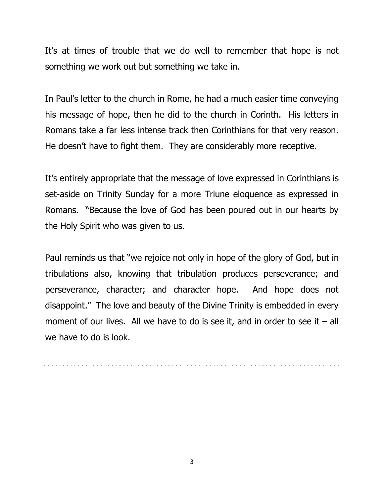It's at times of trouble that we do well to remember that hope is not something we work out but something we take in.

In Paul's letter to the church in Rome, he had a much easier time conveying his message of hope, then he did to the church in Corinth. His letters in Romans take a far less intense track then Corinthians for that very reason. He doesn't have to fight them. They are considerably more receptive.

It's entirely appropriate that the message of love expressed in Corinthians is set-aside on Trinity Sunday for a more Triune eloquence as expressed in Romans. "Because the love of God has been poured out in our hearts by the Holy Spirit who was given to us.

Paul reminds us that "we rejoice not only in hope of the glory of God, but in tribulations also, knowing that tribulation produces perseverance; and perseverance, character; and character hope. And hope does not disappoint." The love and beauty of the Divine Trinity is embedded in every moment of our lives. All we have to do is see it, and in order to see it  $-$  all we have to do is look.

re electronic electronic electronic electronic electronic electronic electronic electronic electronic electron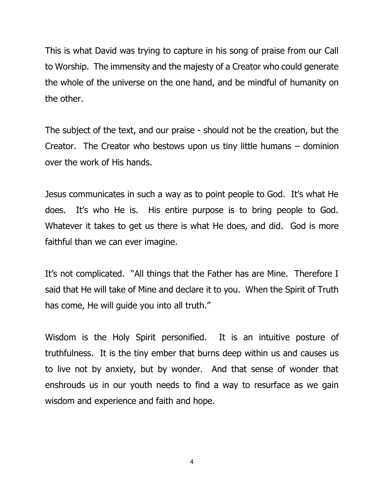This is what David was trying to capture in his song of praise from our Call to Worship. The immensity and the majesty of a Creator who could generate the whole of the universe on the one hand, and be mindful of humanity on the other.

The subject of the text, and our praise - should not be the creation, but the Creator. The Creator who bestows upon us tiny little humans – dominion over the work of His hands.

Jesus communicates in such a way as to point people to God. It's what He does. It's who He is. His entire purpose is to bring people to God. Whatever it takes to get us there is what He does, and did. God is more faithful than we can ever imagine.

It's not complicated. "All things that the Father has are Mine. Therefore I said that He will take of Mine and declare it to you. When the Spirit of Truth has come, He will guide you into all truth."

Wisdom is the Holy Spirit personified. It is an intuitive posture of truthfulness. It is the tiny ember that burns deep within us and causes us to live not by anxiety, but by wonder. And that sense of wonder that enshrouds us in our youth needs to find a way to resurface as we gain wisdom and experience and faith and hope.

4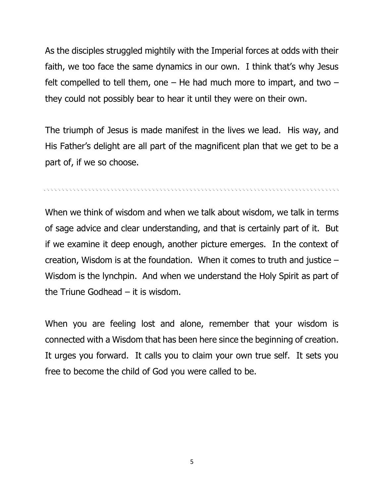As the disciples struggled mightily with the Imperial forces at odds with their faith, we too face the same dynamics in our own. I think that's why Jesus felt compelled to tell them, one  $-$  He had much more to impart, and two  $$ they could not possibly bear to hear it until they were on their own.

The triumph of Jesus is made manifest in the lives we lead. His way, and His Father's delight are all part of the magnificent plan that we get to be a part of, if we so choose.

n en elektron en elektron en elektron en elektron en elektron en elektron en elektron en elektron en elektron

When we think of wisdom and when we talk about wisdom, we talk in terms of sage advice and clear understanding, and that is certainly part of it. But if we examine it deep enough, another picture emerges. In the context of creation, Wisdom is at the foundation. When it comes to truth and justice – Wisdom is the lynchpin. And when we understand the Holy Spirit as part of the Triune Godhead  $-$  it is wisdom.

When you are feeling lost and alone, remember that your wisdom is connected with a Wisdom that has been here since the beginning of creation. It urges you forward. It calls you to claim your own true self. It sets you free to become the child of God you were called to be.